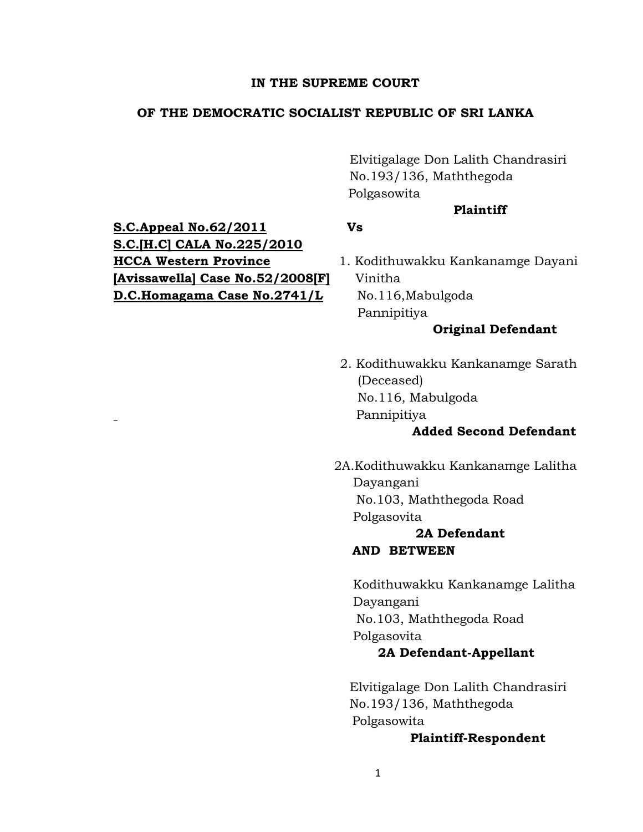### **IN THE SUPREME COURT**

## **OF THE DEMOCRATIC SOCIALIST REPUBLIC OF SRI LANKA**

Elvitigalage Don Lalith Chandrasiri No.193/136, Maththegoda Polgasowita

## **Plaintiff**

**S.C.Appeal No.62/2011 Vs S.C.[H.C] CALA No.225/2010 HCCA Western Province** 1. Kodithuwakku Kankanamge Dayani **[Avissawella] Case No.52/2008[F]** Vinitha **D.C.Homagama Case No.2741/L No.116,Mabulgoda** 

Pannipitiya

# **Original Defendant**

2. Kodithuwakku Kankanamge Sarath (Deceased) No.116, Mabulgoda Pannipitiya

## **Added Second Defendant**

2A.Kodithuwakku Kankanamge Lalitha Dayangani No.103, Maththegoda Road Polgasovita

# **2A Defendant AND BETWEEN**

Kodithuwakku Kankanamge Lalitha Dayangani No.103, Maththegoda Road Polgasovita

## **2A Defendant-Appellant**

Elvitigalage Don Lalith Chandrasiri No.193/136, Maththegoda Polgasowita

### **Plaintiff-Respondent**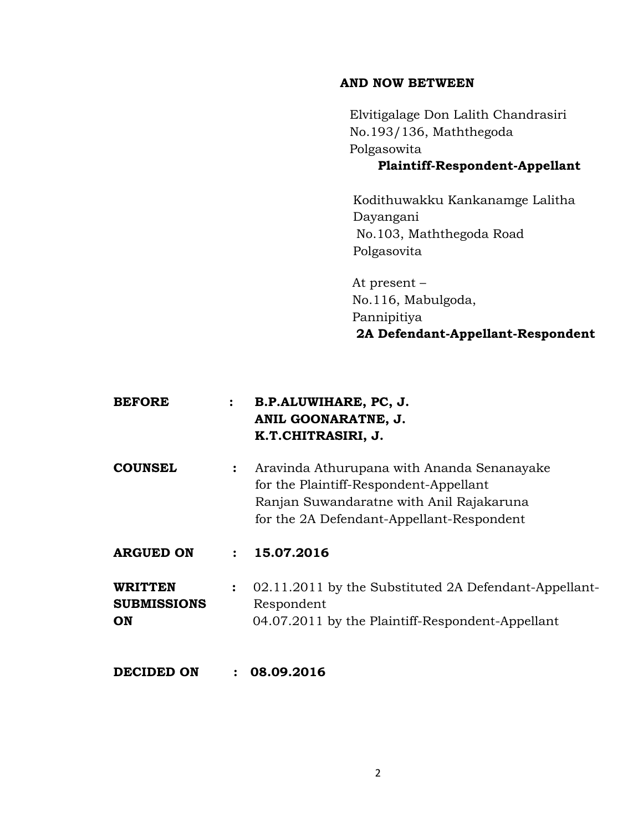## **AND NOW BETWEEN**

Elvitigalage Don Lalith Chandrasiri No.193/136, Maththegoda Polgasowita

# **Plaintiff-Respondent-Appellant**

Kodithuwakku Kankanamge Lalitha Dayangani No.103, Maththegoda Road Polgasovita

 At present – No.116, Mabulgoda, Pannipitiya **2A Defendant-Appellant-Respondent**

| <b>BEFORE</b>                              |                | B.P.ALUWIHARE, PC, J.<br>ANIL GOONARATNE, J.<br>K.T.CHITRASIRI, J.                                                                                                            |
|--------------------------------------------|----------------|-------------------------------------------------------------------------------------------------------------------------------------------------------------------------------|
| <b>COUNSEL</b>                             | $\ddot{\cdot}$ | Aravinda Athurupana with Ananda Senanayake<br>for the Plaintiff-Respondent-Appellant<br>Ranjan Suwandaratne with Anil Rajakaruna<br>for the 2A Defendant-Appellant-Respondent |
| <b>ARGUED ON</b>                           | $\ddot{\cdot}$ | 15.07.2016                                                                                                                                                                    |
| <b>WRITTEN</b><br><b>SUBMISSIONS</b><br>ON | $\ddot{\cdot}$ | 02.11.2011 by the Substituted 2A Defendant-Appellant-<br>Respondent<br>04.07.2011 by the Plaintiff-Respondent-Appellant                                                       |
| DECIDED ON                                 | $\ddot{\cdot}$ | 08.09.2016                                                                                                                                                                    |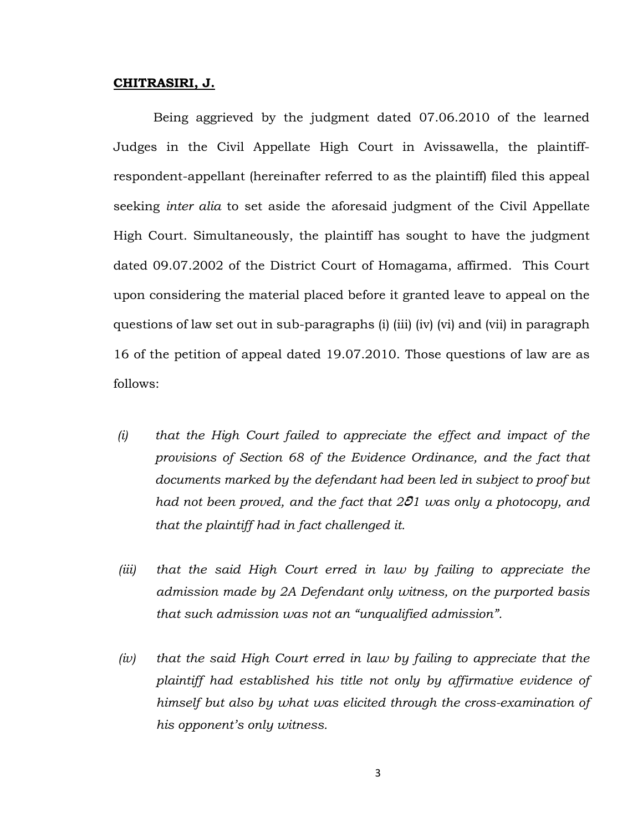#### **CHITRASIRI, J.**

 Being aggrieved by the judgment dated 07.06.2010 of the learned Judges in the Civil Appellate High Court in Avissawella, the plaintiffrespondent-appellant (hereinafter referred to as the plaintiff) filed this appeal seeking *inter alia* to set aside the aforesaid judgment of the Civil Appellate High Court. Simultaneously, the plaintiff has sought to have the judgment dated 09.07.2002 of the District Court of Homagama, affirmed. This Court upon considering the material placed before it granted leave to appeal on the questions of law set out in sub-paragraphs (i) (iii) (iv) (vi) and (vii) in paragraph 16 of the petition of appeal dated 19.07.2010. Those questions of law are as follows:

- *(i) that the High Court failed to appreciate the effect and impact of the provisions of Section 68 of the Evidence Ordinance, and the fact that documents marked by the defendant had been led in subject to proof but had not been proved, and the fact that 201 was only a photocopy, and that the plaintiff had in fact challenged it.*
- *(iii) that the said High Court erred in law by failing to appreciate the admission made by 2A Defendant only witness, on the purported basis that such admission was not an "unqualified admission".*
- *(iv) that the said High Court erred in law by failing to appreciate that the plaintiff had established his title not only by affirmative evidence of himself but also by what was elicited through the cross-examination of his opponent's only witness.*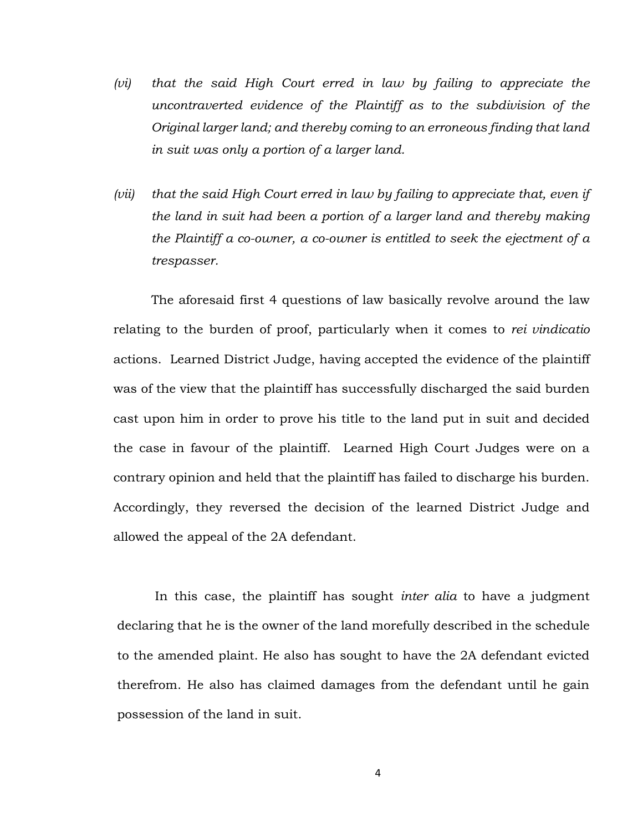- *(vi) that the said High Court erred in law by failing to appreciate the uncontraverted evidence of the Plaintiff as to the subdivision of the Original larger land; and thereby coming to an erroneous finding that land in suit was only a portion of a larger land.*
- *(vii) that the said High Court erred in law by failing to appreciate that, even if the land in suit had been a portion of a larger land and thereby making the Plaintiff a co-owner, a co-owner is entitled to seek the ejectment of a trespasser.*

The aforesaid first 4 questions of law basically revolve around the law relating to the burden of proof, particularly when it comes to *rei vindicatio* actions. Learned District Judge, having accepted the evidence of the plaintiff was of the view that the plaintiff has successfully discharged the said burden cast upon him in order to prove his title to the land put in suit and decided the case in favour of the plaintiff. Learned High Court Judges were on a contrary opinion and held that the plaintiff has failed to discharge his burden. Accordingly, they reversed the decision of the learned District Judge and allowed the appeal of the 2A defendant.

In this case, the plaintiff has sought *inter alia* to have a judgment declaring that he is the owner of the land morefully described in the schedule to the amended plaint. He also has sought to have the 2A defendant evicted therefrom. He also has claimed damages from the defendant until he gain possession of the land in suit.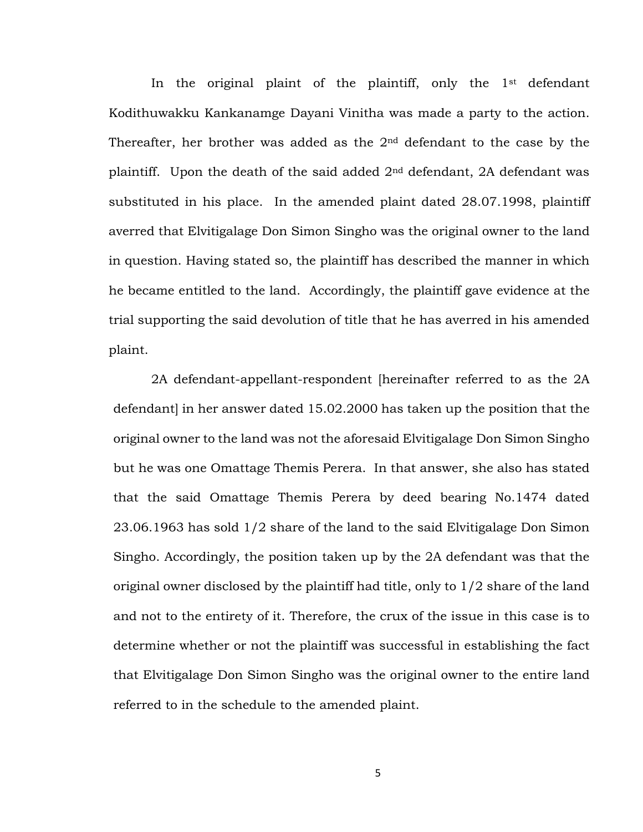In the original plaint of the plaintiff, only the 1<sup>st</sup> defendant Kodithuwakku Kankanamge Dayani Vinitha was made a party to the action. Thereafter, her brother was added as the  $2<sup>nd</sup>$  defendant to the case by the plaintiff. Upon the death of the said added  $2<sup>nd</sup>$  defendant, 2A defendant was substituted in his place. In the amended plaint dated 28.07.1998, plaintiff averred that Elvitigalage Don Simon Singho was the original owner to the land in question. Having stated so, the plaintiff has described the manner in which he became entitled to the land. Accordingly, the plaintiff gave evidence at the trial supporting the said devolution of title that he has averred in his amended plaint.

2A defendant-appellant-respondent [hereinafter referred to as the 2A defendant] in her answer dated 15.02.2000 has taken up the position that the original owner to the land was not the aforesaid Elvitigalage Don Simon Singho but he was one Omattage Themis Perera. In that answer, she also has stated that the said Omattage Themis Perera by deed bearing No.1474 dated 23.06.1963 has sold 1/2 share of the land to the said Elvitigalage Don Simon Singho. Accordingly, the position taken up by the 2A defendant was that the original owner disclosed by the plaintiff had title, only to 1/2 share of the land and not to the entirety of it. Therefore, the crux of the issue in this case is to determine whether or not the plaintiff was successful in establishing the fact that Elvitigalage Don Simon Singho was the original owner to the entire land referred to in the schedule to the amended plaint.

5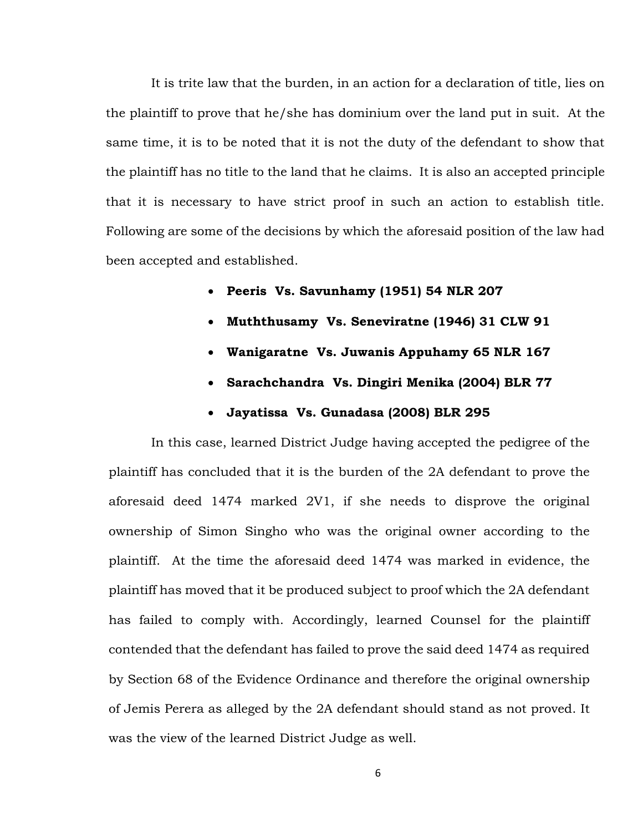It is trite law that the burden, in an action for a declaration of title, lies on the plaintiff to prove that he/she has dominium over the land put in suit. At the same time, it is to be noted that it is not the duty of the defendant to show that the plaintiff has no title to the land that he claims. It is also an accepted principle that it is necessary to have strict proof in such an action to establish title. Following are some of the decisions by which the aforesaid position of the law had been accepted and established.

- **Peeris Vs. Savunhamy (1951) 54 NLR 207**
- **Muththusamy Vs. Seneviratne (1946) 31 CLW 91**
- **Wanigaratne Vs. Juwanis Appuhamy 65 NLR 167**
- **Sarachchandra Vs. Dingiri Menika (2004) BLR 77**
- **Jayatissa Vs. Gunadasa (2008) BLR 295**

In this case, learned District Judge having accepted the pedigree of the plaintiff has concluded that it is the burden of the 2A defendant to prove the aforesaid deed 1474 marked 2V1, if she needs to disprove the original ownership of Simon Singho who was the original owner according to the plaintiff. At the time the aforesaid deed 1474 was marked in evidence, the plaintiff has moved that it be produced subject to proof which the 2A defendant has failed to comply with. Accordingly, learned Counsel for the plaintiff contended that the defendant has failed to prove the said deed 1474 as required by Section 68 of the Evidence Ordinance and therefore the original ownership of Jemis Perera as alleged by the 2A defendant should stand as not proved. It was the view of the learned District Judge as well.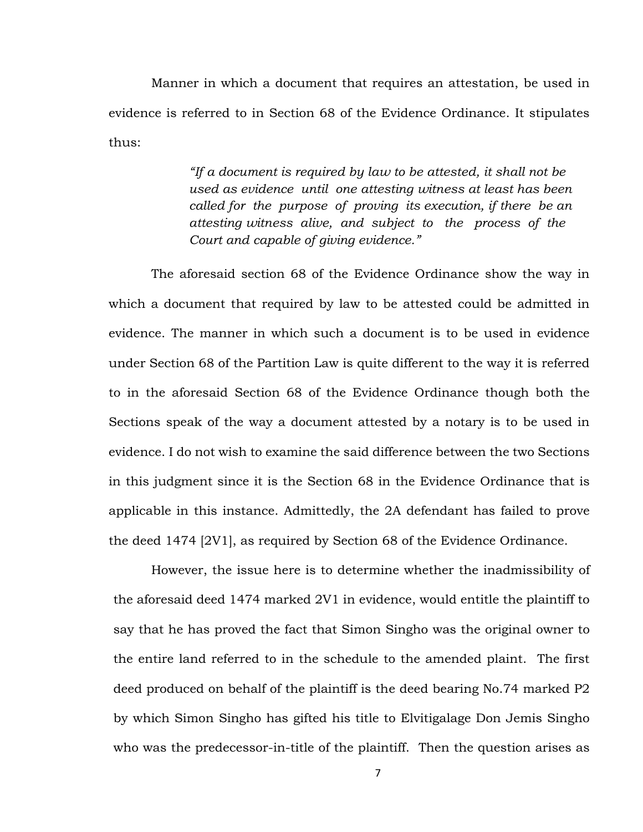Manner in which a document that requires an attestation, be used in evidence is referred to in Section 68 of the Evidence Ordinance. It stipulates thus:

> *"If a document is required by law to be attested, it shall not be used as evidence until one attesting witness at least has been called for the purpose of proving its execution, if there be an attesting witness alive, and subject to the process of the Court and capable of giving evidence."*

The aforesaid section 68 of the Evidence Ordinance show the way in which a document that required by law to be attested could be admitted in evidence. The manner in which such a document is to be used in evidence under Section 68 of the Partition Law is quite different to the way it is referred to in the aforesaid Section 68 of the Evidence Ordinance though both the Sections speak of the way a document attested by a notary is to be used in evidence. I do not wish to examine the said difference between the two Sections in this judgment since it is the Section 68 in the Evidence Ordinance that is applicable in this instance. Admittedly, the 2A defendant has failed to prove the deed 1474 [2V1], as required by Section 68 of the Evidence Ordinance.

However, the issue here is to determine whether the inadmissibility of the aforesaid deed 1474 marked 2V1 in evidence, would entitle the plaintiff to say that he has proved the fact that Simon Singho was the original owner to the entire land referred to in the schedule to the amended plaint. The first deed produced on behalf of the plaintiff is the deed bearing No.74 marked P2 by which Simon Singho has gifted his title to Elvitigalage Don Jemis Singho who was the predecessor-in-title of the plaintiff. Then the question arises as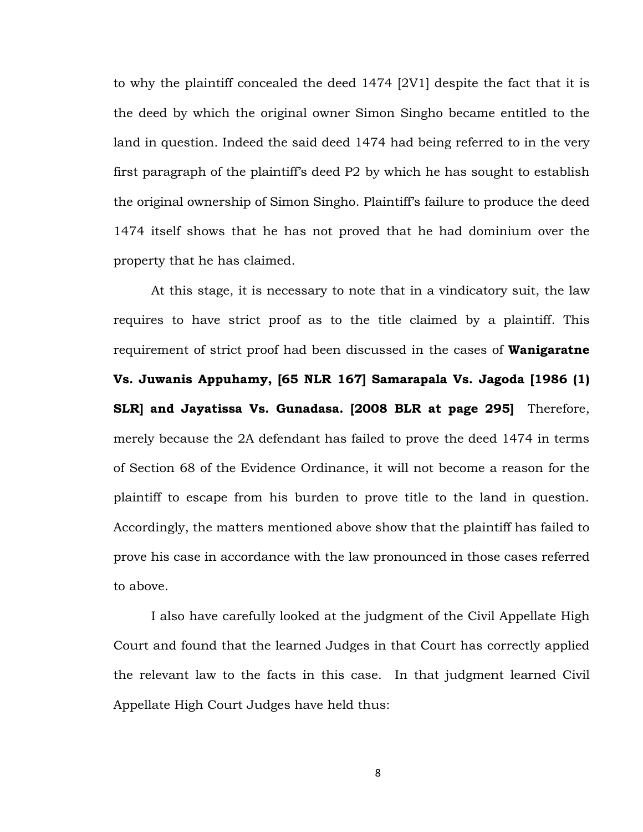to why the plaintiff concealed the deed 1474 [2V1] despite the fact that it is the deed by which the original owner Simon Singho became entitled to the land in question. Indeed the said deed 1474 had being referred to in the very first paragraph of the plaintiff's deed P2 by which he has sought to establish the original ownership of Simon Singho. Plaintiff's failure to produce the deed 1474 itself shows that he has not proved that he had dominium over the property that he has claimed.

At this stage, it is necessary to note that in a vindicatory suit, the law requires to have strict proof as to the title claimed by a plaintiff. This requirement of strict proof had been discussed in the cases of **Wanigaratne Vs. Juwanis Appuhamy, [65 NLR 167] Samarapala Vs. Jagoda [1986 (1) SLR] and Jayatissa Vs. Gunadasa. [2008 BLR at page 295]** Therefore, merely because the 2A defendant has failed to prove the deed 1474 in terms of Section 68 of the Evidence Ordinance, it will not become a reason for the plaintiff to escape from his burden to prove title to the land in question. Accordingly, the matters mentioned above show that the plaintiff has failed to prove his case in accordance with the law pronounced in those cases referred to above.

I also have carefully looked at the judgment of the Civil Appellate High Court and found that the learned Judges in that Court has correctly applied the relevant law to the facts in this case. In that judgment learned Civil Appellate High Court Judges have held thus:

8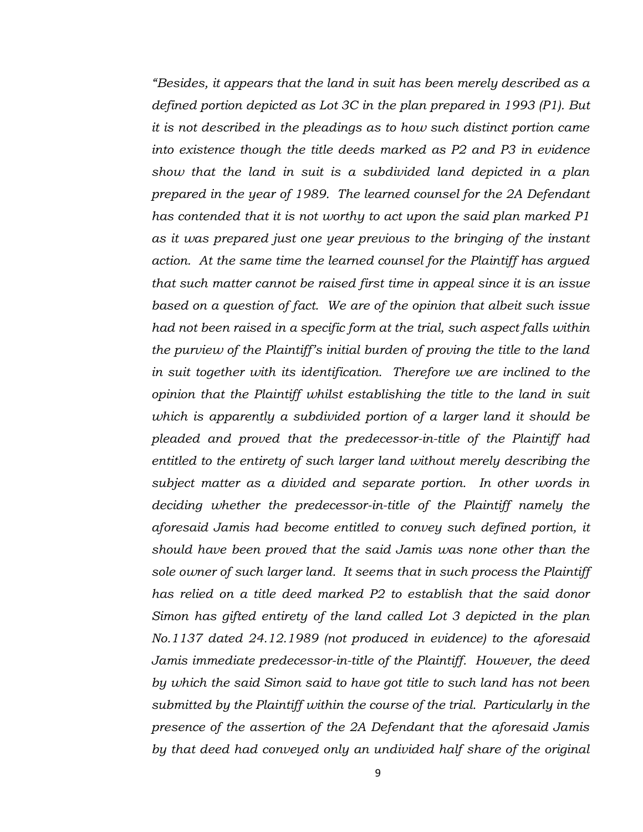*"Besides, it appears that the land in suit has been merely described as a defined portion depicted as Lot 3C in the plan prepared in 1993 (P1). But it is not described in the pleadings as to how such distinct portion came into existence though the title deeds marked as P2 and P3 in evidence show that the land in suit is a subdivided land depicted in a plan prepared in the year of 1989. The learned counsel for the 2A Defendant has contended that it is not worthy to act upon the said plan marked P1 as it was prepared just one year previous to the bringing of the instant action. At the same time the learned counsel for the Plaintiff has argued that such matter cannot be raised first time in appeal since it is an issue based on a question of fact. We are of the opinion that albeit such issue had not been raised in a specific form at the trial, such aspect falls within the purview of the Plaintiff's initial burden of proving the title to the land in suit together with its identification. Therefore we are inclined to the opinion that the Plaintiff whilst establishing the title to the land in suit which is apparently a subdivided portion of a larger land it should be pleaded and proved that the predecessor-in-title of the Plaintiff had entitled to the entirety of such larger land without merely describing the subject matter as a divided and separate portion. In other words in deciding whether the predecessor-in-title of the Plaintiff namely the aforesaid Jamis had become entitled to convey such defined portion, it should have been proved that the said Jamis was none other than the sole owner of such larger land. It seems that in such process the Plaintiff has relied on a title deed marked P2 to establish that the said donor Simon has gifted entirety of the land called Lot 3 depicted in the plan No.1137 dated 24.12.1989 (not produced in evidence) to the aforesaid Jamis immediate predecessor-in-title of the Plaintiff. However, the deed by which the said Simon said to have got title to such land has not been submitted by the Plaintiff within the course of the trial. Particularly in the presence of the assertion of the 2A Defendant that the aforesaid Jamis by that deed had conveyed only an undivided half share of the original*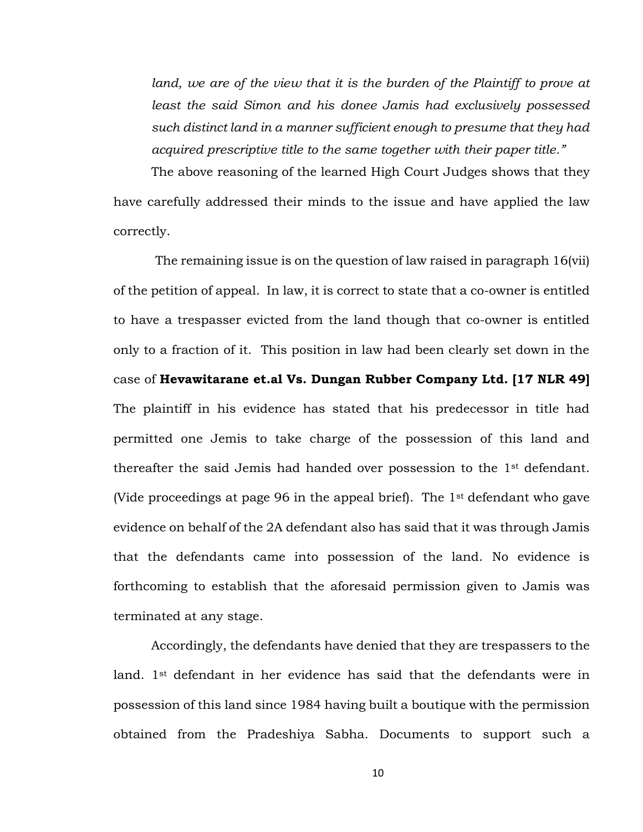land, we are of the view that it is the burden of the Plaintiff to prove at *least the said Simon and his donee Jamis had exclusively possessed such distinct land in a manner sufficient enough to presume that they had acquired prescriptive title to the same together with their paper title."*

The above reasoning of the learned High Court Judges shows that they

have carefully addressed their minds to the issue and have applied the law correctly.

The remaining issue is on the question of law raised in paragraph 16(vii) of the petition of appeal. In law, it is correct to state that a co-owner is entitled to have a trespasser evicted from the land though that co-owner is entitled only to a fraction of it. This position in law had been clearly set down in the case of **Hevawitarane et.al Vs. Dungan Rubber Company Ltd. [17 NLR 49]** The plaintiff in his evidence has stated that his predecessor in title had permitted one Jemis to take charge of the possession of this land and thereafter the said Jemis had handed over possession to the 1st defendant. (Vide proceedings at page 96 in the appeal brief). The 1st defendant who gave evidence on behalf of the 2A defendant also has said that it was through Jamis that the defendants came into possession of the land. No evidence is forthcoming to establish that the aforesaid permission given to Jamis was terminated at any stage.

Accordingly, the defendants have denied that they are trespassers to the land. 1st defendant in her evidence has said that the defendants were in possession of this land since 1984 having built a boutique with the permission obtained from the Pradeshiya Sabha. Documents to support such a